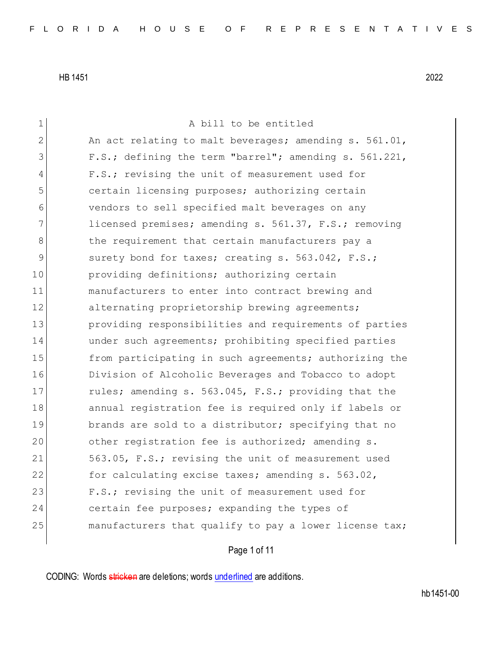| $\mathbf 1$  | A bill to be entitled                                  |
|--------------|--------------------------------------------------------|
| $\mathbf{2}$ | An act relating to malt beverages; amending s. 561.01, |
| 3            | F.S.; defining the term "barrel"; amending s. 561.221, |
| 4            | F.S.; revising the unit of measurement used for        |
| 5            | certain licensing purposes; authorizing certain        |
| 6            | vendors to sell specified malt beverages on any        |
| 7            | licensed premises; amending s. 561.37, F.S.; removing  |
| 8            | the requirement that certain manufacturers pay a       |
| 9            | surety bond for taxes; creating s. 563.042, F.S.;      |
| 10           | providing definitions; authorizing certain             |
| 11           | manufacturers to enter into contract brewing and       |
| 12           | alternating proprietorship brewing agreements;         |
| 13           | providing responsibilities and requirements of parties |
| 14           | under such agreements; prohibiting specified parties   |
| 15           | from participating in such agreements; authorizing the |
| 16           | Division of Alcoholic Beverages and Tobacco to adopt   |
| 17           | rules; amending s. 563.045, F.S.; providing that the   |
| 18           | annual registration fee is required only if labels or  |
| 19           | brands are sold to a distributor; specifying that no   |
| 20           | other registration fee is authorized; amending s.      |
| 21           | 563.05, F.S.; revising the unit of measurement used    |
| 22           | for calculating excise taxes; amending s. 563.02,      |
| 23           | F.S.; revising the unit of measurement used for        |
| 24           | certain fee purposes; expanding the types of           |
| 25           | manufacturers that qualify to pay a lower license tax; |
|              |                                                        |

Page 1 of 11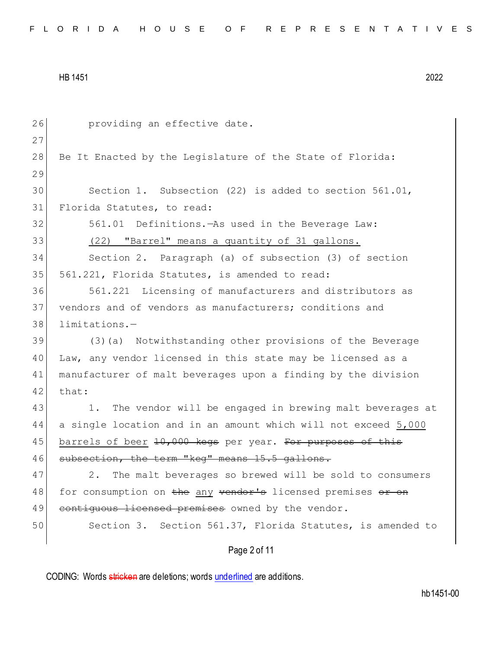| 26 | providing an effective date.                                     |
|----|------------------------------------------------------------------|
| 27 |                                                                  |
| 28 | Be It Enacted by the Legislature of the State of Florida:        |
| 29 |                                                                  |
| 30 | Section 1. Subsection $(22)$ is added to section 561.01,         |
| 31 | Florida Statutes, to read:                                       |
| 32 | 561.01 Definitions. - As used in the Beverage Law:               |
| 33 | (22) "Barrel" means a quantity of 31 gallons.                    |
| 34 | Section 2. Paragraph (a) of subsection (3) of section            |
| 35 | 561.221, Florida Statutes, is amended to read:                   |
| 36 | 561.221 Licensing of manufacturers and distributors as           |
| 37 | vendors and of vendors as manufacturers; conditions and          |
| 38 | $limitations. -$                                                 |
| 39 | (3) (a) Notwithstanding other provisions of the Beverage         |
| 40 | Law, any vendor licensed in this state may be licensed as a      |
| 41 | manufacturer of malt beverages upon a finding by the division    |
| 42 | that:                                                            |
| 43 | The vendor will be engaged in brewing malt beverages at<br>$1$ . |
| 44 | a single location and in an amount which will not exceed 5,000   |
| 45 | barrels of beer 10,000 kegs per year. For purposes of this       |
| 46 | subsection, the term "keq" means 15.5 gallons.                   |
| 47 | The malt beverages so brewed will be sold to consumers<br>2.     |
| 48 | for consumption on the any vendor's licensed premises or on      |
| 49 | contiguous licensed premises owned by the vendor.                |
| 50 | Section 3. Section 561.37, Florida Statutes, is amended to       |
|    | Page 2 of 11                                                     |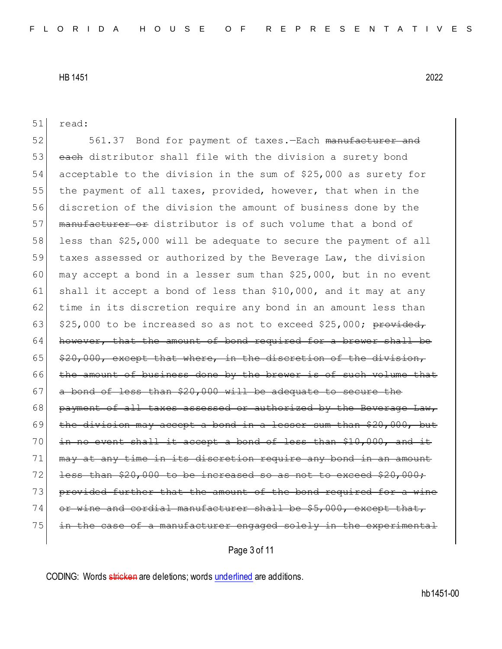| 51 | read:                                                                 |
|----|-----------------------------------------------------------------------|
| 52 | 561.37 Bond for payment of taxes. - Each manufacturer and             |
| 53 | each distributor shall file with the division a surety bond           |
| 54 | acceptable to the division in the sum of \$25,000 as surety for       |
| 55 | the payment of all taxes, provided, however, that when in the         |
| 56 | discretion of the division the amount of business done by the         |
| 57 | manufacturer or distributor is of such volume that a bond of          |
| 58 | less than \$25,000 will be adequate to secure the payment of all      |
| 59 | taxes assessed or authorized by the Beverage Law, the division        |
| 60 | may accept a bond in a lesser sum than \$25,000, but in no event      |
| 61 | shall it accept a bond of less than \$10,000, and it may at any       |
| 62 | time in its discretion require any bond in an amount less than        |
| 63 | \$25,000 to be increased so as not to exceed \$25,000; provided,      |
| 64 | however, that the amount of bond required for a brewer shall be       |
| 65 | \$20,000, except that where, in the discretion of the division,       |
| 66 | the amount of business done by the brewer is of such volume that      |
| 67 | a bond of less than \$20,000 will be adequate to secure the           |
| 68 | payment of all taxes assessed or authorized by the Beverage Law,      |
| 69 | the division may accept a bond in a lesser sum than \$20,000, but     |
| 70 | in no event shall it accept a bond of less than \$10,000, and it      |
| 71 | may at any time in its discretion require any bond in an amount       |
| 72 | less than \$20,000 to be increased so as not to exceed \$20,000;      |
| 73 | provided further that the amount of the bond required for a wine      |
| 74 | or wine and cordial manufacturer shall be \$5,000, except that,       |
| 75 | in the case of a manufacturer engaged solely in the experimental      |
|    | Page 3 of 11                                                          |
|    | CODING: Words stricken are deletions; words underlined are additions. |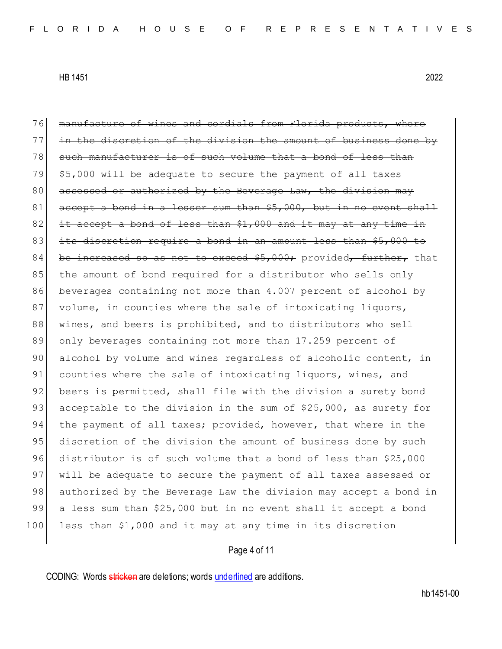76 manufacture of wines and cordials from Florida products, where 77 in the discretion of the division the amount of business done by 78 such manufacturer is of such volume that a bond of less than  $79$   $$5,000$  will be adequate to secure the payment of all taxes  $80$  assessed or authorized by the Beverage Law, the division may 81 accept a bond in a lesser sum than \$5,000, but in no event shall  $82$  it accept a bond of less than  $$1,000$  and it may at any time in 83 its discretion require a bond in an amount less than \$5,000 to 84 be increased so as not to exceed  $$5,000$ ; provided, further, that 85 the amount of bond required for a distributor who sells only 86 beverages containing not more than 4.007 percent of alcohol by 87 volume, in counties where the sale of intoxicating liquors, 88 wines, and beers is prohibited, and to distributors who sell 89 only beverages containing not more than 17.259 percent of 90 alcohol by volume and wines regardless of alcoholic content, in 91 counties where the sale of intoxicating liquors, wines, and 92 beers is permitted, shall file with the division a surety bond 93 acceptable to the division in the sum of \$25,000, as surety for 94 the payment of all taxes; provided, however, that where in the 95 discretion of the division the amount of business done by such 96 distributor is of such volume that a bond of less than \$25,000 97 will be adequate to secure the payment of all taxes assessed or 98 authorized by the Beverage Law the division may accept a bond in 99 a less sum than \$25,000 but in no event shall it accept a bond 100 less than \$1,000 and it may at any time in its discretion

## Page 4 of 11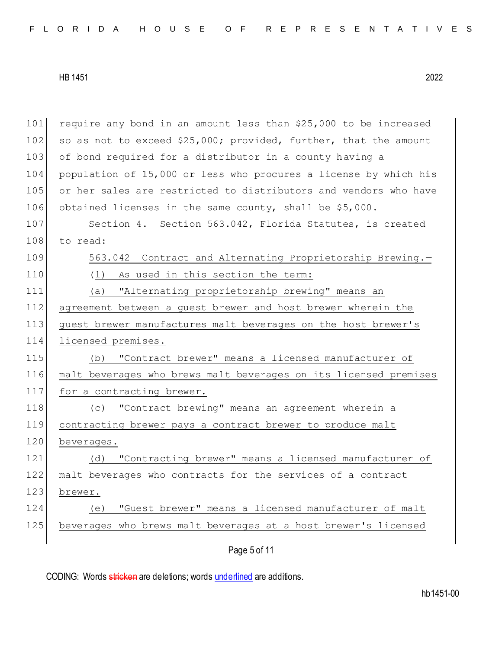Page 5 of 11 101 require any bond in an amount less than \$25,000 to be increased 102 so as not to exceed  $$25,000$ ; provided, further, that the amount 103 of bond required for a distributor in a county having a 104 population of 15,000 or less who procures a license by which his 105 or her sales are restricted to distributors and vendors who have 106 obtained licenses in the same county, shall be \$5,000. 107 Section 4. Section 563.042, Florida Statutes, is created 108 to read: 109 563.042 Contract and Alternating Proprietorship Brewing.-110 (1) As used in this section the term: 111 (a) "Alternating proprietorship brewing" means an 112 agreement between a guest brewer and host brewer wherein the 113 guest brewer manufactures malt beverages on the host brewer's 114 licensed premises. 115 (b) "Contract brewer" means a licensed manufacturer of 116 malt beverages who brews malt beverages on its licensed premises 117 for a contracting brewer. 118 (c) "Contract brewing" means an agreement wherein a 119 contracting brewer pays a contract brewer to produce malt 120 beverages. 121 (d) "Contracting brewer" means a licensed manufacturer of 122 malt beverages who contracts for the services of a contract 123 brewer. 124 (e) "Guest brewer" means a licensed manufacturer of malt 125 beverages who brews malt beverages at a host brewer's licensed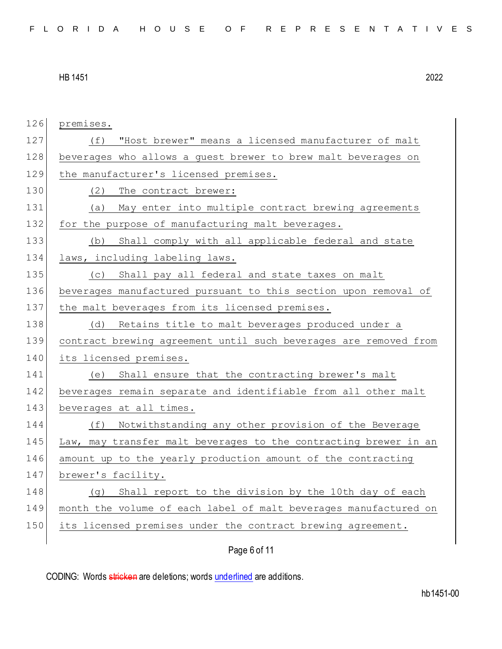| 126 | premises.                                                        |
|-----|------------------------------------------------------------------|
| 127 | "Host brewer" means a licensed manufacturer of malt<br>(f)       |
| 128 | beverages who allows a guest brewer to brew malt beverages on    |
| 129 | the manufacturer's licensed premises.                            |
| 130 | (2)<br>The contract brewer:                                      |
| 131 | (a) May enter into multiple contract brewing agreements          |
| 132 | for the purpose of manufacturing malt beverages.                 |
| 133 | Shall comply with all applicable federal and state<br>(b)        |
| 134 | laws, including labeling laws.                                   |
| 135 | Shall pay all federal and state taxes on malt<br>(C)             |
| 136 | beverages manufactured pursuant to this section upon removal of  |
| 137 | the malt beverages from its licensed premises.                   |
| 138 | Retains title to malt beverages produced under a<br>(d)          |
| 139 | contract brewing agreement until such beverages are removed from |
| 140 | its licensed premises.                                           |
| 141 | Shall ensure that the contracting brewer's malt<br>(e)           |
| 142 | beverages remain separate and identifiable from all other malt   |
| 143 | beverages at all times.                                          |
| 144 | Notwithstanding any other provision of the Beverage<br>(f)       |
| 145 | Law, may transfer malt beverages to the contracting brewer in an |
| 146 | amount up to the yearly production amount of the contracting     |
| 147 | brewer's facility.                                               |
| 148 | Shall report to the division by the 10th day of each<br>(q)      |
| 149 | month the volume of each label of malt beverages manufactured on |
| 150 | its licensed premises under the contract brewing agreement.      |
|     | Page 6 of 11                                                     |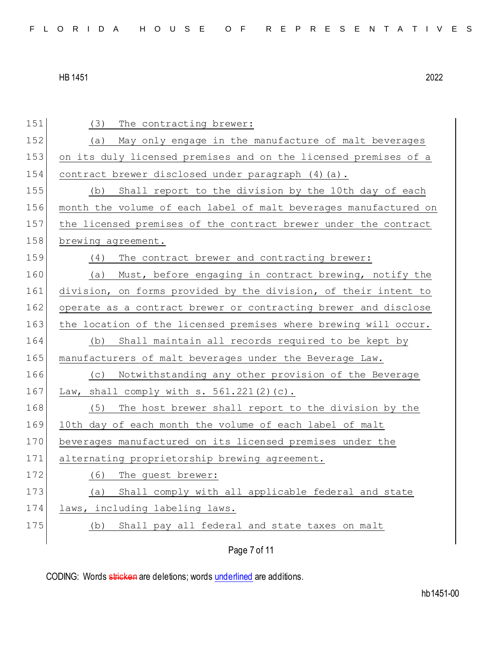| (3)<br>The contracting brewer:                                   |
|------------------------------------------------------------------|
| May only engage in the manufacture of malt beverages<br>(a)      |
| on its duly licensed premises and on the licensed premises of a  |
| contract brewer disclosed under paragraph (4) (a).               |
| Shall report to the division by the 10th day of each<br>(b)      |
| month the volume of each label of malt beverages manufactured on |
| the licensed premises of the contract brewer under the contract  |
| brewing agreement.                                               |
| The contract brewer and contracting brewer:<br>(4)               |
| Must, before engaging in contract brewing, notify the<br>(a)     |
| division, on forms provided by the division, of their intent to  |
| operate as a contract brewer or contracting brewer and disclose  |
| the location of the licensed premises where brewing will occur.  |
| Shall maintain all records required to be kept by<br>(b)         |
| manufacturers of malt beverages under the Beverage Law.          |
| (c) Notwithstanding any other provision of the Beverage          |
| Law, shall comply with $s. 561.221(2)(c)$ .                      |
| (5)<br>The host brewer shall report to the division by the       |
| 10th day of each month the volume of each label of malt          |
| beverages manufactured on its licensed premises under the        |
| alternating proprietorship brewing agreement.                    |
| (6)<br>The guest brewer:                                         |
| Shall comply with all applicable federal and state<br>(a)        |
| laws, including labeling laws.                                   |
| Shall pay all federal and state taxes on malt<br>(b)             |
|                                                                  |
|                                                                  |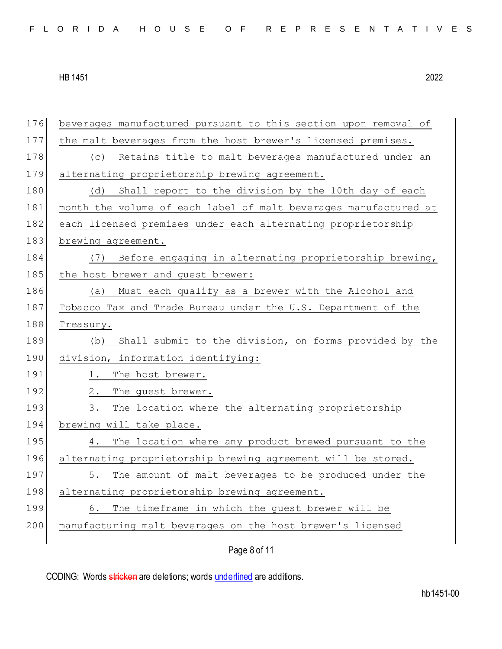| 176 | beverages manufactured pursuant to this section upon removal of  |
|-----|------------------------------------------------------------------|
| 177 | the malt beverages from the host brewer's licensed premises.     |
| 178 | Retains title to malt beverages manufactured under an<br>(C)     |
| 179 | alternating proprietorship brewing agreement.                    |
| 180 | Shall report to the division by the 10th day of each<br>(d)      |
| 181 | month the volume of each label of malt beverages manufactured at |
| 182 | each licensed premises under each alternating proprietorship     |
| 183 | brewing agreement.                                               |
| 184 | Before engaging in alternating proprietorship brewing,<br>(7)    |
| 185 | the host brewer and guest brewer:                                |
| 186 | Must each qualify as a brewer with the Alcohol and<br>(a)        |
| 187 | Tobacco Tax and Trade Bureau under the U.S. Department of the    |
| 188 | Treasury.                                                        |
|     |                                                                  |
| 189 | Shall submit to the division, on forms provided by the<br>(b)    |
| 190 | division, information identifying:                               |
| 191 | The host brewer.<br>1.                                           |
| 192 | $2$ .<br>The guest brewer.                                       |
| 193 | 3.<br>The location where the alternating proprietorship          |
| 194 | brewing will take place.                                         |
| 195 | The location where any product brewed pursuant to the<br>4.      |
| 196 | alternating proprietorship brewing agreement will be stored.     |
| 197 | 5.<br>The amount of malt beverages to be produced under the      |
| 198 | alternating proprietorship brewing agreement.                    |
| 199 | The timeframe in which the guest brewer will be<br>6.            |
| 200 | manufacturing malt beverages on the host brewer's licensed       |

Page 8 of 11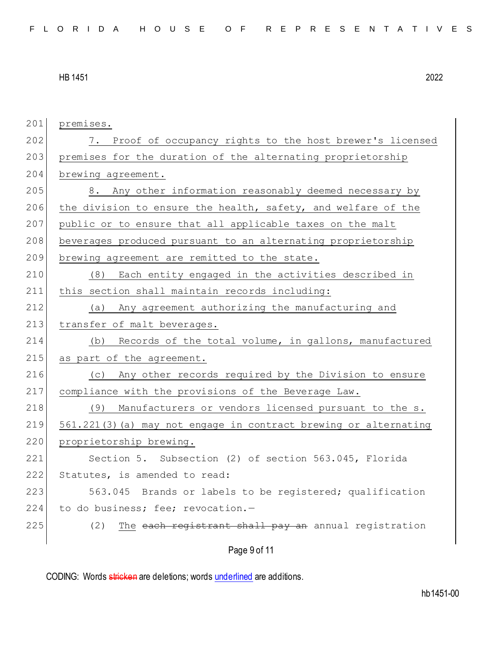| 201 | premises.                                                        |
|-----|------------------------------------------------------------------|
| 202 | 7. Proof of occupancy rights to the host brewer's licensed       |
| 203 | premises for the duration of the alternating proprietorship      |
| 204 | brewing agreement.                                               |
| 205 | 8. Any other information reasonably deemed necessary by          |
| 206 | the division to ensure the health, safety, and welfare of the    |
| 207 | public or to ensure that all applicable taxes on the malt        |
| 208 | beverages produced pursuant to an alternating proprietorship     |
| 209 | brewing agreement are remitted to the state.                     |
| 210 | (8) Each entity engaged in the activities described in           |
| 211 | this section shall maintain records including:                   |
| 212 | Any agreement authorizing the manufacturing and<br>(a)           |
| 213 | transfer of malt beverages.                                      |
| 214 | Records of the total volume, in gallons, manufactured<br>(b)     |
| 215 | as part of the agreement.                                        |
| 216 | (c) Any other records required by the Division to ensure         |
| 217 | compliance with the provisions of the Beverage Law.              |
| 218 | (9) Manufacturers or vendors licensed pursuant to the s.         |
| 219 | 561.221(3) (a) may not engage in contract brewing or alternating |
| 220 | proprietorship brewing.                                          |
| 221 | Section 5. Subsection (2) of section 563.045, Florida            |
| 222 | Statutes, is amended to read:                                    |
| 223 | 563.045 Brands or labels to be registered; qualification         |
| 224 | to do business; fee; revocation.-                                |
| 225 | The each registrant shall pay an annual registration<br>(2)      |
|     | Page 9 of 11                                                     |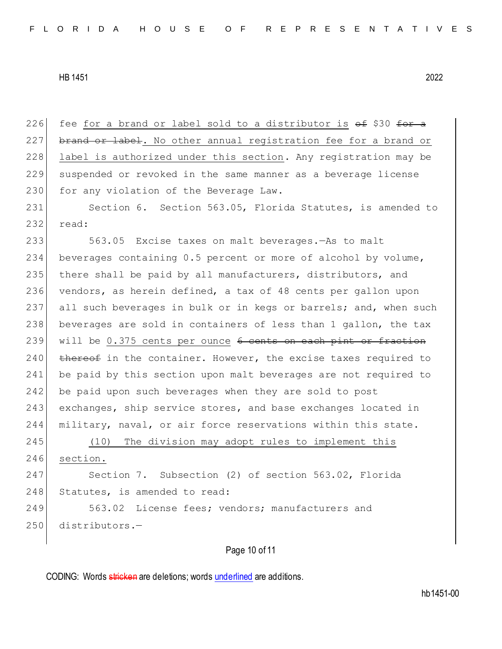226 fee for a brand or label sold to a distributor is  $\Theta$  f \$30 for a 227 brand or label. No other annual registration fee for a brand or 228 label is authorized under this section. Any registration may be 229 suspended or revoked in the same manner as a beverage license 230 for any violation of the Beverage Law.

231 Section 6. Section 563.05, Florida Statutes, is amended to 232 read:

 563.05 Excise taxes on malt beverages.—As to malt beverages containing 0.5 percent or more of alcohol by volume, there shall be paid by all manufacturers, distributors, and vendors, as herein defined, a tax of 48 cents per gallon upon 237 all such beverages in bulk or in kegs or barrels; and, when such beverages are sold in containers of less than 1 gallon, the tax 239 will be 0.375 cents per ounce 6 cents on each pint or fraction thereof in the container. However, the excise taxes required to be paid by this section upon malt beverages are not required to be paid upon such beverages when they are sold to post exchanges, ship service stores, and base exchanges located in military, naval, or air force reservations within this state.

245 (10) The division may adopt rules to implement this 246 section.

247 Section 7. Subsection (2) of section 563.02, Florida 248 Statutes, is amended to read:

249 563.02 License fees; vendors; manufacturers and 250 distributors.-

## Page 10 of 11